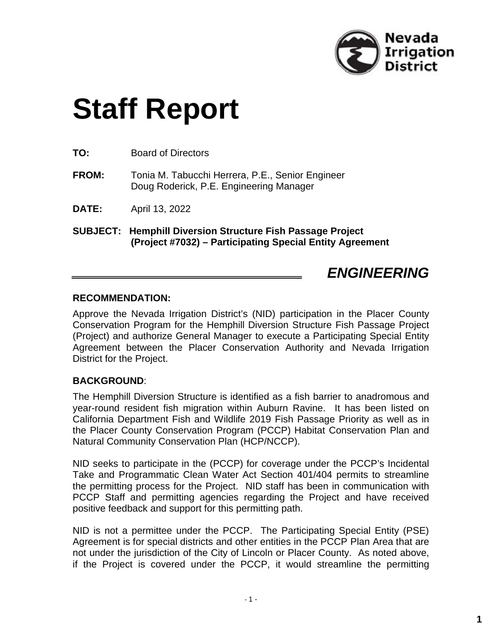

# **Staff Report**

**TO:** Board of Directors

**FROM:** Tonia M. Tabucchi Herrera, P.E., Senior Engineer Doug Roderick, P.E. Engineering Manager

**DATE:** April 13, 2022

**SUBJECT: Hemphill Diversion Structure Fish Passage Project (Project #7032) – Participating Special Entity Agreement**

# *ENGINEERING*

#### **RECOMMENDATION:**

Approve the Nevada Irrigation District's (NID) participation in the Placer County Conservation Program for the Hemphill Diversion Structure Fish Passage Project (Project) and authorize General Manager to execute a Participating Special Entity Agreement between the Placer Conservation Authority and Nevada Irrigation District for the Project.

#### **BACKGROUND**:

The Hemphill Diversion Structure is identified as a fish barrier to anadromous and year-round resident fish migration within Auburn Ravine. It has been listed on California Department Fish and Wildlife 2019 Fish Passage Priority as well as in the Placer County Conservation Program (PCCP) Habitat Conservation Plan and Natural Community Conservation Plan (HCP/NCCP).

NID seeks to participate in the (PCCP) for coverage under the PCCP's Incidental Take and Programmatic Clean Water Act Section 401/404 permits to streamline the permitting process for the Project. NID staff has been in communication with PCCP Staff and permitting agencies regarding the Project and have received positive feedback and support for this permitting path.

NID is not a permittee under the PCCP. The Participating Special Entity (PSE) Agreement is for special districts and other entities in the PCCP Plan Area that are not under the jurisdiction of the City of Lincoln or Placer County. As noted above, if the Project is covered under the PCCP, it would streamline the permitting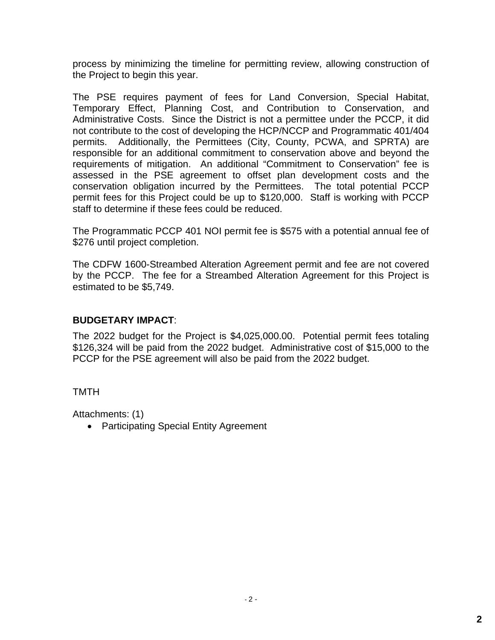process by minimizing the timeline for permitting review, allowing construction of the Project to begin this year.

The PSE requires payment of fees for Land Conversion, Special Habitat, Temporary Effect, Planning Cost, and Contribution to Conservation, and Administrative Costs. Since the District is not a permittee under the PCCP, it did not contribute to the cost of developing the HCP/NCCP and Programmatic 401/404 permits. Additionally, the Permittees (City, County, PCWA, and SPRTA) are responsible for an additional commitment to conservation above and beyond the requirements of mitigation. An additional "Commitment to Conservation" fee is assessed in the PSE agreement to offset plan development costs and the conservation obligation incurred by the Permittees. The total potential PCCP permit fees for this Project could be up to \$120,000. Staff is working with PCCP staff to determine if these fees could be reduced.

The Programmatic PCCP 401 NOI permit fee is \$575 with a potential annual fee of \$276 until project completion.

The CDFW 1600-Streambed Alteration Agreement permit and fee are not covered by the PCCP. The fee for a Streambed Alteration Agreement for this Project is estimated to be \$5,749.

# **BUDGETARY IMPACT**:

The 2022 budget for the Project is \$4,025,000.00. Potential permit fees totaling \$126,324 will be paid from the 2022 budget. Administrative cost of \$15,000 to the PCCP for the PSE agreement will also be paid from the 2022 budget.

#### **TMTH**

Attachments: (1)

• Participating Special Entity Agreement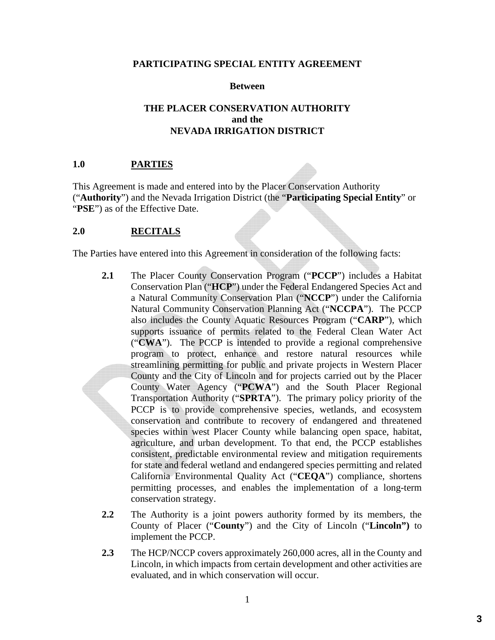#### **PARTICIPATING SPECIAL ENTITY AGREEMENT**

#### **Between**

#### **THE PLACER CONSERVATION AUTHORITY and the NEVADA IRRIGATION DISTRICT**

#### **1.0 PARTIES**

This Agreement is made and entered into by the Placer Conservation Authority ("**Authority**") and the Nevada Irrigation District (the "**Participating Special Entity**" or "PSE") as of the Effective Date.

#### **2.0 RECITALS**

The Parties have entered into this Agreement in consideration of the following facts:

- **2.1** The Placer County Conservation Program ("**PCCP**") includes a Habitat Conservation Plan ("**HCP**") under the Federal Endangered Species Act and a Natural Community Conservation Plan ("**NCCP**") under the California Natural Community Conservation Planning Act ("**NCCPA**"). The PCCP also includes the County Aquatic Resources Program ("**CARP**"), which supports issuance of permits related to the Federal Clean Water Act ("**CWA**"). The PCCP is intended to provide a regional comprehensive program to protect, enhance and restore natural resources while streamlining permitting for public and private projects in Western Placer County and the City of Lincoln and for projects carried out by the Placer County Water Agency ("**PCWA**") and the South Placer Regional Transportation Authority ("**SPRTA**"). The primary policy priority of the PCCP is to provide comprehensive species, wetlands, and ecosystem conservation and contribute to recovery of endangered and threatened species within west Placer County while balancing open space, habitat, agriculture, and urban development. To that end, the PCCP establishes consistent, predictable environmental review and mitigation requirements for state and federal wetland and endangered species permitting and related California Environmental Quality Act ("**CEQA**") compliance, shortens permitting processes, and enables the implementation of a long-term conservation strategy.
- **2.2** The Authority is a joint powers authority formed by its members, the County of Placer ("**County**") and the City of Lincoln ("**Lincoln")** to implement the PCCP.
- **2.3** The HCP/NCCP covers approximately 260,000 acres, all in the County and Lincoln, in which impacts from certain development and other activities are evaluated, and in which conservation will occur.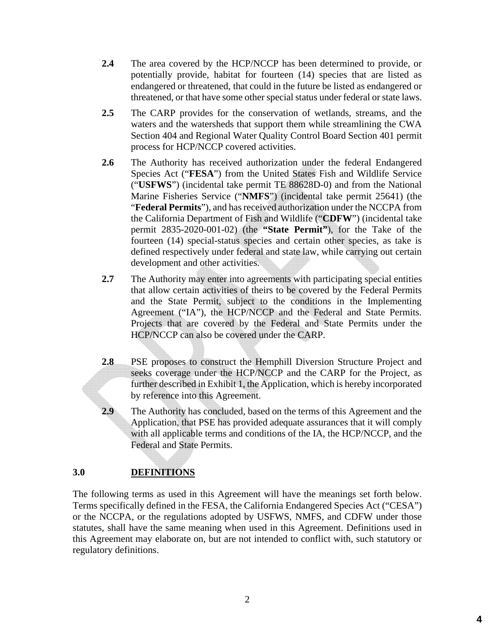- **2.4** The area covered by the HCP/NCCP has been determined to provide, or potentially provide, habitat for fourteen (14) species that are listed as endangered or threatened, that could in the future be listed as endangered or threatened, or that have some other special status under federal or state laws.
- **2.5** The CARP provides for the conservation of wetlands, streams, and the waters and the watersheds that support them while streamlining the CWA Section 404 and Regional Water Quality Control Board Section 401 permit process for HCP/NCCP covered activities.
- **2.6** The Authority has received authorization under the federal Endangered Species Act ("**FESA**") from the United States Fish and Wildlife Service ("**USFWS**") (incidental take permit TE 88628D-0) and from the National Marine Fisheries Service ("**NMFS**") (incidental take permit 25641) (the "**Federal Permits**"), and has received authorization under the NCCPA from the California Department of Fish and Wildlife ("**CDFW**") (incidental take permit 2835-2020-001-02) (the **"State Permit"**), for the Take of the fourteen (14) special-status species and certain other species, as take is defined respectively under federal and state law, while carrying out certain development and other activities.
- **2.7** The Authority may enter into agreements with participating special entities that allow certain activities of theirs to be covered by the Federal Permits and the State Permit, subject to the conditions in the Implementing Agreement ("IA"), the HCP/NCCP and the Federal and State Permits. Projects that are covered by the Federal and State Permits under the HCP/NCCP can also be covered under the CARP.
- **2.8** PSE proposes to construct the Hemphill Diversion Structure Project and seeks coverage under the HCP/NCCP and the CARP for the Project*,* as further described in Exhibit 1, the Application, which is hereby incorporated by reference into this Agreement.
- **2.9** The Authority has concluded, based on the terms of this Agreement and the Application, that PSE has provided adequate assurances that it will comply with all applicable terms and conditions of the IA, the HCP/NCCP, and the Federal and State Permits.

# **3.0 DEFINITIONS**

The following terms as used in this Agreement will have the meanings set forth below. Terms specifically defined in the FESA, the California Endangered Species Act ("CESA") or the NCCPA, or the regulations adopted by USFWS, NMFS, and CDFW under those statutes, shall have the same meaning when used in this Agreement. Definitions used in this Agreement may elaborate on, but are not intended to conflict with, such statutory or regulatory definitions.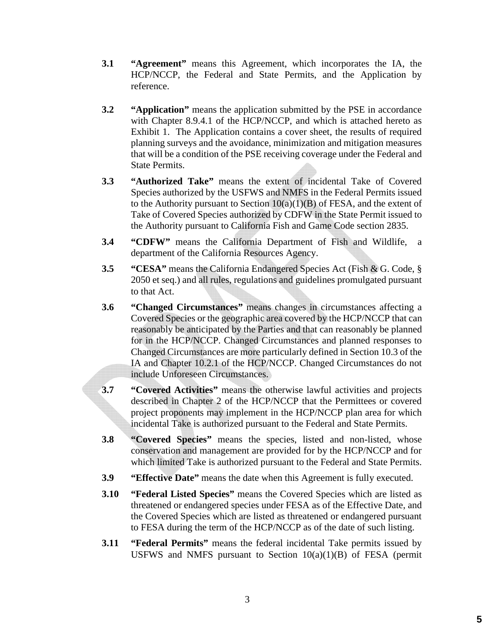- **3.1 "Agreement"** means this Agreement, which incorporates the IA, the HCP/NCCP, the Federal and State Permits, and the Application by reference.
- **3.2 "Application"** means the application submitted by the PSE in accordance with Chapter 8.9.4.1 of the HCP/NCCP, and which is attached hereto as Exhibit 1. The Application contains a cover sheet, the results of required planning surveys and the avoidance, minimization and mitigation measures that will be a condition of the PSE receiving coverage under the Federal and State Permits.
- **3.3 "Authorized Take"** means the extent of incidental Take of Covered Species authorized by the USFWS and NMFS in the Federal Permits issued to the Authority pursuant to Section  $10(a)(1)(B)$  of FESA, and the extent of Take of Covered Species authorized by CDFW in the State Permit issued to the Authority pursuant to California Fish and Game Code section 2835.
- **3.4 "CDFW"** means the California Department of Fish and Wildlife, a department of the California Resources Agency.
- **3.5 "CESA"** means the California Endangered Species Act (Fish & G. Code, § 2050 et seq.) and all rules, regulations and guidelines promulgated pursuant to that Act.
- **3.6 "Changed Circumstances"** means changes in circumstances affecting a Covered Species or the geographic area covered by the HCP/NCCP that can reasonably be anticipated by the Parties and that can reasonably be planned for in the HCP/NCCP. Changed Circumstances and planned responses to Changed Circumstances are more particularly defined in Section 10.3 of the IA and Chapter 10.2.1 of the HCP/NCCP. Changed Circumstances do not include Unforeseen Circumstances.
- **3.7 "Covered Activities"** means the otherwise lawful activities and projects described in Chapter 2 of the HCP/NCCP that the Permittees or covered project proponents may implement in the HCP/NCCP plan area for which incidental Take is authorized pursuant to the Federal and State Permits.
- **3.8 "Covered Species"** means the species, listed and non-listed, whose conservation and management are provided for by the HCP/NCCP and for which limited Take is authorized pursuant to the Federal and State Permits.
- **3.9 "Effective Date"** means the date when this Agreement is fully executed.
- **3.10 "Federal Listed Species"** means the Covered Species which are listed as threatened or endangered species under FESA as of the Effective Date, and the Covered Species which are listed as threatened or endangered pursuant to FESA during the term of the HCP/NCCP as of the date of such listing.
- **3.11 "Federal Permits"** means the federal incidental Take permits issued by USFWS and NMFS pursuant to Section  $10(a)(1)(B)$  of FESA (permit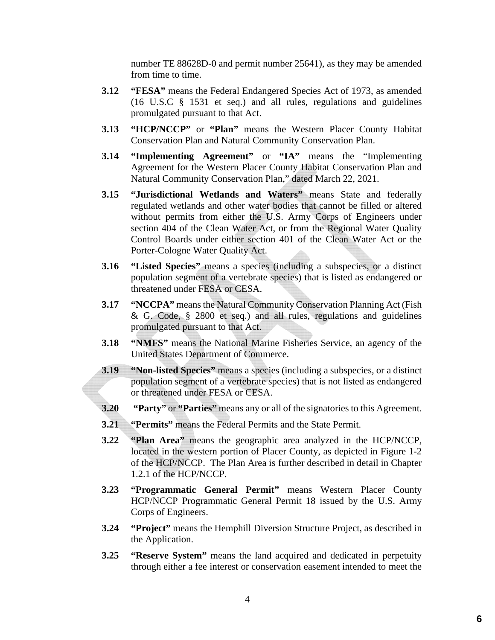number TE 88628D-0 and permit number 25641), as they may be amended from time to time.

- **3.12 "FESA"** means the Federal Endangered Species Act of 1973, as amended (16 U.S.C § 1531 et seq.) and all rules, regulations and guidelines promulgated pursuant to that Act.
- **3.13 "HCP/NCCP"** or **"Plan"** means the Western Placer County Habitat Conservation Plan and Natural Community Conservation Plan.
- **3.14 "Implementing Agreement"** or **"IA"** means the "Implementing Agreement for the Western Placer County Habitat Conservation Plan and Natural Community Conservation Plan," dated March 22, 2021.
- **3.15 "Jurisdictional Wetlands and Waters"** means State and federally regulated wetlands and other water bodies that cannot be filled or altered without permits from either the U.S. Army Corps of Engineers under section 404 of the Clean Water Act, or from the Regional Water Quality Control Boards under either section 401 of the Clean Water Act or the Porter-Cologne Water Quality Act.
- **3.16 "Listed Species"** means a species (including a subspecies, or a distinct population segment of a vertebrate species) that is listed as endangered or threatened under FESA or CESA.
- **3.17 "NCCPA"** means the Natural Community Conservation Planning Act (Fish & G. Code, § 2800 et seq.) and all rules, regulations and guidelines promulgated pursuant to that Act.
- **3.18 "NMFS"** means the National Marine Fisheries Service, an agency of the United States Department of Commerce.
- **3.19 "Non-listed Species"** means a species (including a subspecies, or a distinct population segment of a vertebrate species) that is not listed as endangered or threatened under FESA or CESA.
- **3.20 "Party"** or **"Parties"** means any or all of the signatories to this Agreement.
- **3.21 "Permits"** means the Federal Permits and the State Permit.
- **3.22 "Plan Area"** means the geographic area analyzed in the HCP/NCCP, located in the western portion of Placer County, as depicted in Figure 1-2 of the HCP/NCCP. The Plan Area is further described in detail in Chapter 1.2.1 of the HCP/NCCP.
- **3.23 "Programmatic General Permit"** means Western Placer County HCP/NCCP Programmatic General Permit 18 issued by the U.S. Army Corps of Engineers.
- **3.24 "Project"** means the Hemphill Diversion Structure Project, as described in the Application.
- **3.25 "Reserve System"** means the land acquired and dedicated in perpetuity through either a fee interest or conservation easement intended to meet the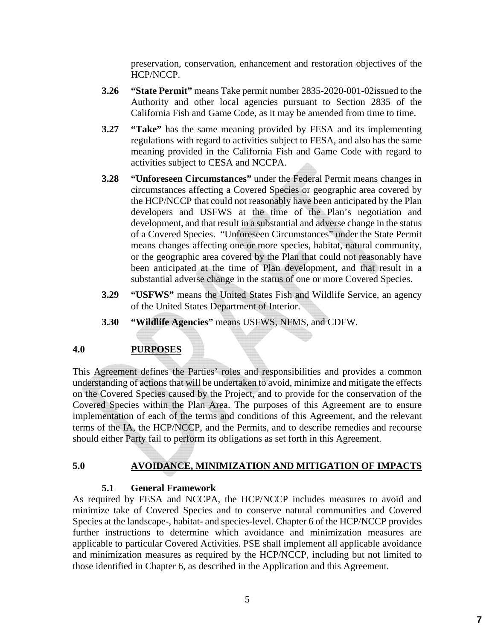preservation, conservation, enhancement and restoration objectives of the HCP/NCCP.

- **3.26 "State Permit"** means Take permit number 2835-2020-001-02issued to the Authority and other local agencies pursuant to Section 2835 of the California Fish and Game Code, as it may be amended from time to time.
- **3.27 "Take"** has the same meaning provided by FESA and its implementing regulations with regard to activities subject to FESA, and also has the same meaning provided in the California Fish and Game Code with regard to activities subject to CESA and NCCPA.
- **3.28 "Unforeseen Circumstances"** under the Federal Permit means changes in circumstances affecting a Covered Species or geographic area covered by the HCP/NCCP that could not reasonably have been anticipated by the Plan developers and USFWS at the time of the Plan's negotiation and development, and that result in a substantial and adverse change in the status of a Covered Species. "Unforeseen Circumstances" under the State Permit means changes affecting one or more species, habitat, natural community, or the geographic area covered by the Plan that could not reasonably have been anticipated at the time of Plan development, and that result in a substantial adverse change in the status of one or more Covered Species.
- **3.29 "USFWS"** means the United States Fish and Wildlife Service, an agency of the United States Department of Interior.
- **3.30 "Wildlife Agencies"** means USFWS, NFMS, and CDFW.

#### **4.0 PURPOSES**

This Agreement defines the Parties' roles and responsibilities and provides a common understanding of actions that will be undertaken to avoid, minimize and mitigate the effects on the Covered Species caused by the Project, and to provide for the conservation of the Covered Species within the Plan Area. The purposes of this Agreement are to ensure implementation of each of the terms and conditions of this Agreement, and the relevant terms of the IA, the HCP/NCCP, and the Permits, and to describe remedies and recourse should either Party fail to perform its obligations as set forth in this Agreement.

# **5.0 AVOIDANCE, MINIMIZATION AND MITIGATION OF IMPACTS**

#### **5.1 General Framework**

As required by FESA and NCCPA, the HCP/NCCP includes measures to avoid and minimize take of Covered Species and to conserve natural communities and Covered Species at the landscape-, habitat- and species-level. Chapter 6 of the HCP/NCCP provides further instructions to determine which avoidance and minimization measures are applicable to particular Covered Activities. PSE shall implement all applicable avoidance and minimization measures as required by the HCP/NCCP, including but not limited to those identified in Chapter 6, as described in the Application and this Agreement.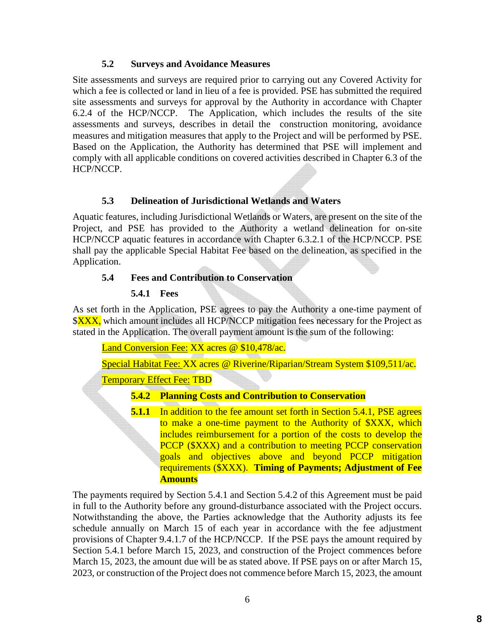#### **5.2 Surveys and Avoidance Measures**

Site assessments and surveys are required prior to carrying out any Covered Activity for which a fee is collected or land in lieu of a fee is provided. PSE has submitted the required site assessments and surveys for approval by the Authority in accordance with Chapter 6.2.4 of the HCP/NCCP. The Application, which includes the results of the site assessments and surveys, describes in detail the construction monitoring, avoidance measures and mitigation measures that apply to the Project and will be performed by PSE. Based on the Application, the Authority has determined that PSE will implement and comply with all applicable conditions on covered activities described in Chapter 6.3 of the HCP/NCCP.

#### **5.3 Delineation of Jurisdictional Wetlands and Waters**

Aquatic features, including Jurisdictional Wetlands or Waters, are present on the site of the Project, and PSE has provided to the Authority a wetland delineation for on-site HCP/NCCP aquatic features in accordance with Chapter 6.3.2.1 of the HCP/NCCP. PSE shall pay the applicable Special Habitat Fee based on the delineation, as specified in the Application.

#### **5.4 Fees and Contribution to Conservation**

#### **5.4.1 Fees**

As set forth in the Application, PSE agrees to pay the Authority a one-time payment of **\$XXX**, which amount includes all HCP/NCCP mitigation fees necessary for the Project as stated in the Application. The overall payment amount is the sum of the following:

Land Conversion Fee: XX acres @ \$10,478/ac.

Special Habitat Fee: XX acres @ Riverine/Riparian/Stream System \$109,511/ac.

Temporary Effect Fee: TBD

#### **5.4.2 Planning Costs and Contribution to Conservation**

**5.1.1** In addition to the fee amount set forth in Section 5.4.1, PSE agrees to make a one-time payment to the Authority of \$XXX, which includes reimbursement for a portion of the costs to develop the PCCP (\$XXX) and a contribution to meeting PCCP conservation goals and objectives above and beyond PCCP mitigation requirements (\$XXX). **Timing of Payments; Adjustment of Fee Amounts**

The payments required by Section 5.4.1 and Section 5.4.2 of this Agreement must be paid in full to the Authority before any ground-disturbance associated with the Project occurs. Notwithstanding the above, the Parties acknowledge that the Authority adjusts its fee schedule annually on March 15 of each year in accordance with the fee adjustment provisions of Chapter 9.4.1.7 of the HCP/NCCP. If the PSE pays the amount required by Section 5.4.1 before March 15, 2023, and construction of the Project commences before March 15, 2023, the amount due will be as stated above. If PSE pays on or after March 15, 2023, or construction of the Project does not commence before March 15, 2023, the amount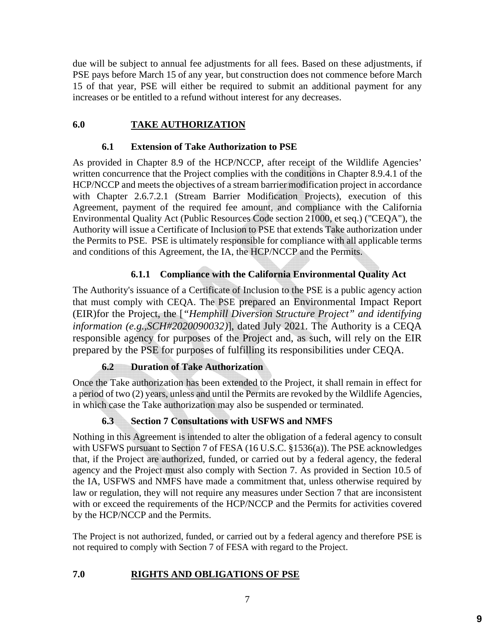due will be subject to annual fee adjustments for all fees. Based on these adjustments, if PSE pays before March 15 of any year, but construction does not commence before March 15 of that year, PSE will either be required to submit an additional payment for any increases or be entitled to a refund without interest for any decreases.

# **6.0 TAKE AUTHORIZATION**

#### **6.1 Extension of Take Authorization to PSE**

As provided in Chapter 8.9 of the HCP/NCCP, after receipt of the Wildlife Agencies' written concurrence that the Project complies with the conditions in Chapter 8.9.4.1 of the HCP/NCCP and meets the objectives of a stream barrier modification project in accordance with Chapter 2.6.7.2.1 (Stream Barrier Modification Projects), execution of this Agreement, payment of the required fee amount, and compliance with the California Environmental Quality Act (Public Resources Code section 21000, et seq.) ("CEQA"), the Authority will issue a Certificate of Inclusion to PSE that extends Take authorization under the Permits to PSE. PSE is ultimately responsible for compliance with all applicable terms and conditions of this Agreement, the IA, the HCP/NCCP and the Permits.

# **6.1.1 Compliance with the California Environmental Quality Act**

The Authority's issuance of a Certificate of Inclusion to the PSE is a public agency action that must comply with CEQA. The PSE prepared an Environmental Impact Report (EIR)for the Project, the [*"Hemphill Diversion Structure Project" and identifying information (e.g.,SCH#2020090032)*], dated July 2021. The Authority is a CEQA responsible agency for purposes of the Project and, as such, will rely on the EIR prepared by the PSE for purposes of fulfilling its responsibilities under CEQA.

# **6.2 Duration of Take Authorization**

Once the Take authorization has been extended to the Project, it shall remain in effect for a period of two (2) years, unless and until the Permits are revoked by the Wildlife Agencies, in which case the Take authorization may also be suspended or terminated.

# **6.3 Section 7 Consultations with USFWS and NMFS**

Nothing in this Agreement is intended to alter the obligation of a federal agency to consult with USFWS pursuant to Section 7 of FESA (16 U.S.C. §1536(a)). The PSE acknowledges that, if the Project are authorized, funded, or carried out by a federal agency, the federal agency and the Project must also comply with Section 7. As provided in Section 10.5 of the IA, USFWS and NMFS have made a commitment that, unless otherwise required by law or regulation, they will not require any measures under Section 7 that are inconsistent with or exceed the requirements of the HCP/NCCP and the Permits for activities covered by the HCP/NCCP and the Permits.

The Project is not authorized, funded, or carried out by a federal agency and therefore PSE is not required to comply with Section 7 of FESA with regard to the Project.

# **7.0 RIGHTS AND OBLIGATIONS OF PSE**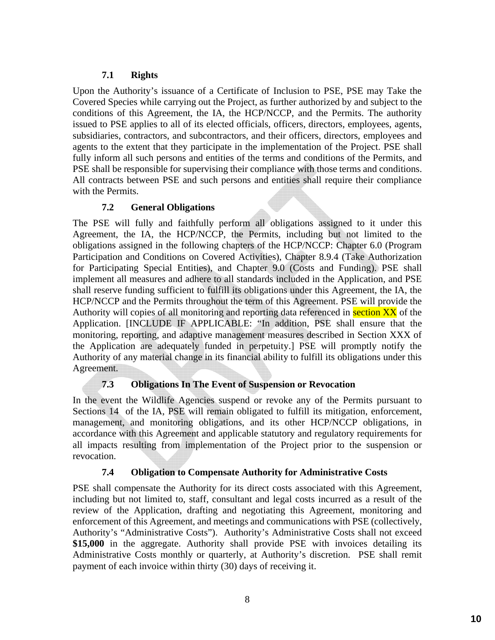#### **7.1 Rights**

Upon the Authority's issuance of a Certificate of Inclusion to PSE, PSE may Take the Covered Species while carrying out the Project, as further authorized by and subject to the conditions of this Agreement, the IA, the HCP/NCCP, and the Permits. The authority issued to PSE applies to all of its elected officials, officers, directors, employees, agents, subsidiaries, contractors, and subcontractors, and their officers, directors, employees and agents to the extent that they participate in the implementation of the Project. PSE shall fully inform all such persons and entities of the terms and conditions of the Permits, and PSE shall be responsible for supervising their compliance with those terms and conditions. All contracts between PSE and such persons and entities shall require their compliance with the Permits.

#### **7.2 General Obligations**

The PSE will fully and faithfully perform all obligations assigned to it under this Agreement, the IA, the HCP/NCCP, the Permits, including but not limited to the obligations assigned in the following chapters of the HCP/NCCP: Chapter 6.0 (Program Participation and Conditions on Covered Activities), Chapter 8.9.4 (Take Authorization for Participating Special Entities), and Chapter 9.0 (Costs and Funding). PSE shall implement all measures and adhere to all standards included in the Application, and PSE shall reserve funding sufficient to fulfill its obligations under this Agreement, the IA, the HCP/NCCP and the Permits throughout the term of this Agreement. PSE will provide the Authority will copies of all monitoring and reporting data referenced in section XX of the Application. [INCLUDE IF APPLICABLE: "In addition, PSE shall ensure that the monitoring, reporting, and adaptive management measures described in Section XXX of the Application are adequately funded in perpetuity.] PSE will promptly notify the Authority of any material change in its financial ability to fulfill its obligations under this Agreement.

# **7.3 Obligations In The Event of Suspension or Revocation**

In the event the Wildlife Agencies suspend or revoke any of the Permits pursuant to Sections 14 of the IA, PSE will remain obligated to fulfill its mitigation, enforcement, management, and monitoring obligations, and its other HCP/NCCP obligations, in accordance with this Agreement and applicable statutory and regulatory requirements for all impacts resulting from implementation of the Project prior to the suspension or revocation.

#### **7.4 Obligation to Compensate Authority for Administrative Costs**

PSE shall compensate the Authority for its direct costs associated with this Agreement, including but not limited to, staff, consultant and legal costs incurred as a result of the review of the Application, drafting and negotiating this Agreement, monitoring and enforcement of this Agreement, and meetings and communications with PSE (collectively, Authority's "Administrative Costs"). Authority's Administrative Costs shall not exceed **\$15,000** in the aggregate. Authority shall provide PSE with invoices detailing its Administrative Costs monthly or quarterly, at Authority's discretion. PSE shall remit payment of each invoice within thirty (30) days of receiving it.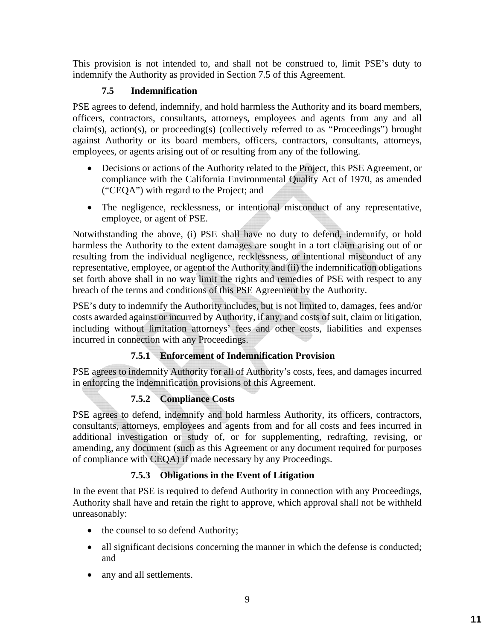This provision is not intended to, and shall not be construed to, limit PSE's duty to indemnify the Authority as provided in Section 7.5 of this Agreement.

# **7.5 Indemnification**

PSE agrees to defend, indemnify, and hold harmless the Authority and its board members, officers, contractors, consultants, attorneys, employees and agents from any and all claim(s), action(s), or proceeding(s) (collectively referred to as "Proceedings") brought against Authority or its board members, officers, contractors, consultants, attorneys, employees, or agents arising out of or resulting from any of the following.

- Decisions or actions of the Authority related to the Project, this PSE Agreement, or compliance with the California Environmental Quality Act of 1970, as amended ("CEQA") with regard to the Project; and
- The negligence, recklessness, or intentional misconduct of any representative, employee, or agent of PSE.

Notwithstanding the above, (i) PSE shall have no duty to defend, indemnify, or hold harmless the Authority to the extent damages are sought in a tort claim arising out of or resulting from the individual negligence, recklessness, or intentional misconduct of any representative, employee, or agent of the Authority and (ii) the indemnification obligations set forth above shall in no way limit the rights and remedies of PSE with respect to any breach of the terms and conditions of this PSE Agreement by the Authority.

PSE's duty to indemnify the Authority includes, but is not limited to, damages, fees and/or costs awarded against or incurred by Authority, if any, and costs of suit, claim or litigation, including without limitation attorneys' fees and other costs, liabilities and expenses incurred in connection with any Proceedings.

# **7.5.1 Enforcement of Indemnification Provision**

PSE agrees to indemnify Authority for all of Authority's costs, fees, and damages incurred in enforcing the indemnification provisions of this Agreement.

# **7.5.2 Compliance Costs**

PSE agrees to defend, indemnify and hold harmless Authority, its officers, contractors, consultants, attorneys, employees and agents from and for all costs and fees incurred in additional investigation or study of, or for supplementing, redrafting, revising, or amending, any document (such as this Agreement or any document required for purposes of compliance with CEQA) if made necessary by any Proceedings.

# **7.5.3 Obligations in the Event of Litigation**

In the event that PSE is required to defend Authority in connection with any Proceedings, Authority shall have and retain the right to approve, which approval shall not be withheld unreasonably:

- the counsel to so defend Authority;
- all significant decisions concerning the manner in which the defense is conducted; and
- any and all settlements.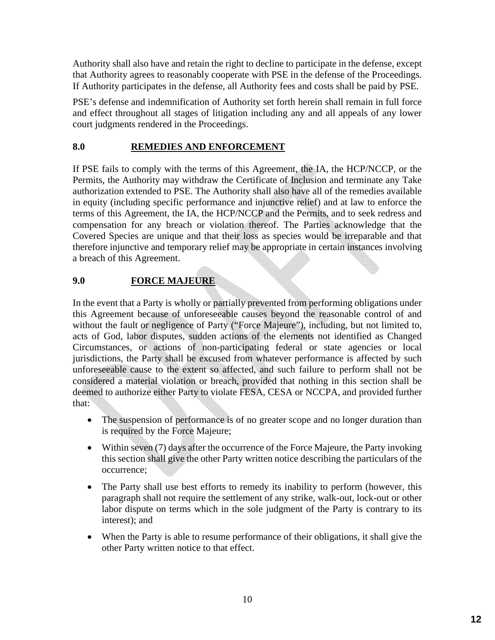Authority shall also have and retain the right to decline to participate in the defense, except that Authority agrees to reasonably cooperate with PSE in the defense of the Proceedings. If Authority participates in the defense, all Authority fees and costs shall be paid by PSE.

PSE's defense and indemnification of Authority set forth herein shall remain in full force and effect throughout all stages of litigation including any and all appeals of any lower court judgments rendered in the Proceedings.

#### **8.0 REMEDIES AND ENFORCEMENT**

If PSE fails to comply with the terms of this Agreement, the IA, the HCP/NCCP, or the Permits, the Authority may withdraw the Certificate of Inclusion and terminate any Take authorization extended to PSE. The Authority shall also have all of the remedies available in equity (including specific performance and injunctive relief) and at law to enforce the terms of this Agreement, the IA, the HCP/NCCP and the Permits, and to seek redress and compensation for any breach or violation thereof. The Parties acknowledge that the Covered Species are unique and that their loss as species would be irreparable and that therefore injunctive and temporary relief may be appropriate in certain instances involving a breach of this Agreement.

# **9.0 FORCE MAJEURE**

In the event that a Party is wholly or partially prevented from performing obligations under this Agreement because of unforeseeable causes beyond the reasonable control of and without the fault or negligence of Party ("Force Majeure"), including, but not limited to, acts of God, labor disputes, sudden actions of the elements not identified as Changed Circumstances, or actions of non-participating federal or state agencies or local jurisdictions, the Party shall be excused from whatever performance is affected by such unforeseeable cause to the extent so affected, and such failure to perform shall not be considered a material violation or breach, provided that nothing in this section shall be deemed to authorize either Party to violate FESA, CESA or NCCPA, and provided further that:

- The suspension of performance is of no greater scope and no longer duration than is required by the Force Majeure;
- Within seven (7) days after the occurrence of the Force Majeure, the Party invoking this section shall give the other Party written notice describing the particulars of the occurrence;
- The Party shall use best efforts to remedy its inability to perform (however, this paragraph shall not require the settlement of any strike, walk-out, lock-out or other labor dispute on terms which in the sole judgment of the Party is contrary to its interest); and
- When the Party is able to resume performance of their obligations, it shall give the other Party written notice to that effect.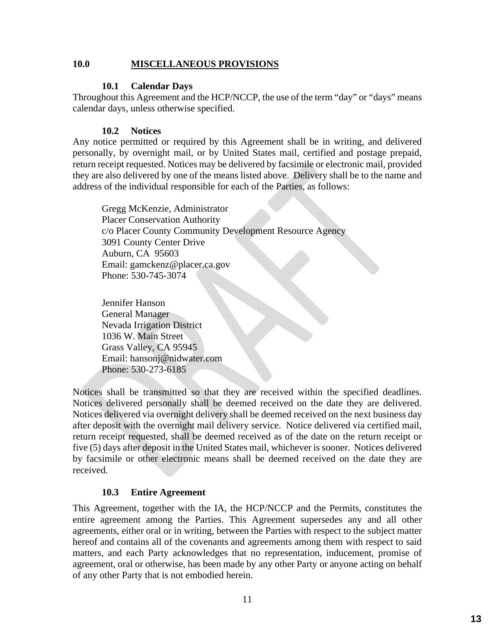#### **10.0 MISCELLANEOUS PROVISIONS**

#### **10.1 Calendar Days**

Throughout this Agreement and the HCP/NCCP, the use of the term "day" or "days" means calendar days, unless otherwise specified.

#### **10.2 Notices**

Any notice permitted or required by this Agreement shall be in writing, and delivered personally, by overnight mail, or by United States mail, certified and postage prepaid, return receipt requested. Notices may be delivered by facsimile or electronic mail, provided they are also delivered by one of the means listed above. Delivery shall be to the name and address of the individual responsible for each of the Parties, as follows:

Gregg McKenzie, Administrator Placer Conservation Authority c/o Placer County Community Development Resource Agency 3091 County Center Drive Auburn, CA 95603 Email: gamckenz@placer.ca.gov Phone: 530-745-3074

Jennifer Hanson General Manager Nevada Irrigation District 1036 W. Main Street Grass Valley, CA 95945 Email: hansonj@nidwater.com Phone: 530-273-6185

Notices shall be transmitted so that they are received within the specified deadlines. Notices delivered personally shall be deemed received on the date they are delivered. Notices delivered via overnight delivery shall be deemed received on the next business day after deposit with the overnight mail delivery service. Notice delivered via certified mail, return receipt requested, shall be deemed received as of the date on the return receipt or five (5) days after deposit in the United States mail, whichever is sooner. Notices delivered by facsimile or other electronic means shall be deemed received on the date they are received.

#### **10.3 Entire Agreement**

This Agreement, together with the IA, the HCP/NCCP and the Permits, constitutes the entire agreement among the Parties. This Agreement supersedes any and all other agreements, either oral or in writing, between the Parties with respect to the subject matter hereof and contains all of the covenants and agreements among them with respect to said matters, and each Party acknowledges that no representation, inducement, promise of agreement, oral or otherwise, has been made by any other Party or anyone acting on behalf of any other Party that is not embodied herein.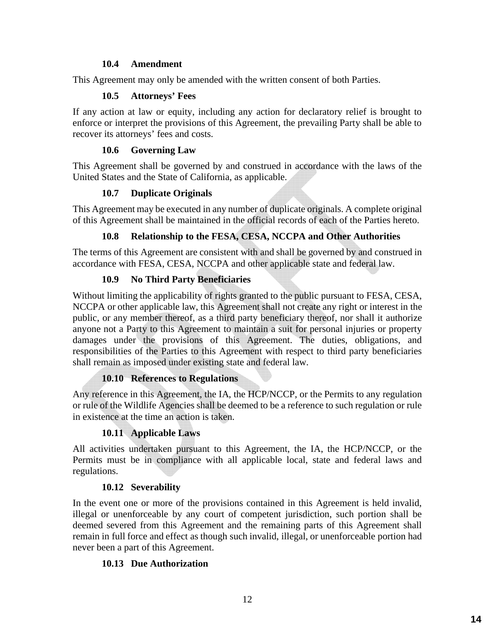#### **10.4 Amendment**

This Agreement may only be amended with the written consent of both Parties.

#### **10.5 Attorneys' Fees**

If any action at law or equity, including any action for declaratory relief is brought to enforce or interpret the provisions of this Agreement, the prevailing Party shall be able to recover its attorneys' fees and costs.

#### **10.6 Governing Law**

This Agreement shall be governed by and construed in accordance with the laws of the United States and the State of California, as applicable.

#### **10.7 Duplicate Originals**

This Agreement may be executed in any number of duplicate originals. A complete original of this Agreement shall be maintained in the official records of each of the Parties hereto.

#### **10.8 Relationship to the FESA, CESA, NCCPA and Other Authorities**

The terms of this Agreement are consistent with and shall be governed by and construed in accordance with FESA, CESA, NCCPA and other applicable state and federal law.

#### **10.9 No Third Party Beneficiaries**

Without limiting the applicability of rights granted to the public pursuant to FESA, CESA, NCCPA or other applicable law, this Agreement shall not create any right or interest in the public, or any member thereof, as a third party beneficiary thereof, nor shall it authorize anyone not a Party to this Agreement to maintain a suit for personal injuries or property damages under the provisions of this Agreement. The duties, obligations, and responsibilities of the Parties to this Agreement with respect to third party beneficiaries shall remain as imposed under existing state and federal law.

#### **10.10 References to Regulations**

Any reference in this Agreement, the IA, the HCP/NCCP, or the Permits to any regulation or rule of the Wildlife Agencies shall be deemed to be a reference to such regulation or rule in existence at the time an action is taken.

#### **10.11 Applicable Laws**

All activities undertaken pursuant to this Agreement, the IA, the HCP/NCCP, or the Permits must be in compliance with all applicable local, state and federal laws and regulations.

#### **10.12 Severability**

In the event one or more of the provisions contained in this Agreement is held invalid, illegal or unenforceable by any court of competent jurisdiction, such portion shall be deemed severed from this Agreement and the remaining parts of this Agreement shall remain in full force and effect as though such invalid, illegal, or unenforceable portion had never been a part of this Agreement.

#### **10.13 Due Authorization**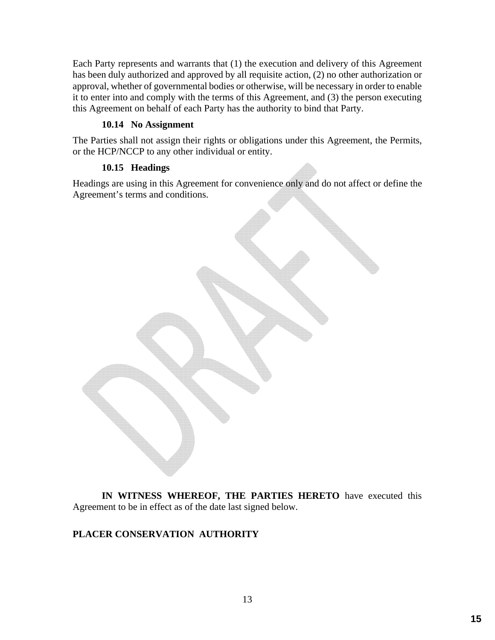Each Party represents and warrants that (1) the execution and delivery of this Agreement has been duly authorized and approved by all requisite action, (2) no other authorization or approval, whether of governmental bodies or otherwise, will be necessary in order to enable it to enter into and comply with the terms of this Agreement, and (3) the person executing this Agreement on behalf of each Party has the authority to bind that Party.

#### **10.14 No Assignment**

The Parties shall not assign their rights or obligations under this Agreement, the Permits, or the HCP/NCCP to any other individual or entity.

#### **10.15 Headings**

Headings are using in this Agreement for convenience only and do not affect or define the Agreement's terms and conditions.



**IN WITNESS WHEREOF, THE PARTIES HERETO** have executed this Agreement to be in effect as of the date last signed below.

# **PLACER CONSERVATION AUTHORITY**